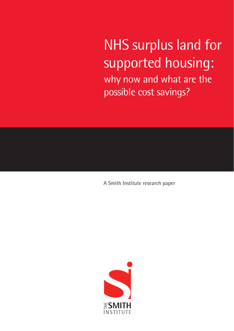NHS surplus land for supported housing: why now and what are the possible cost savings?

A Smith Institute research paper

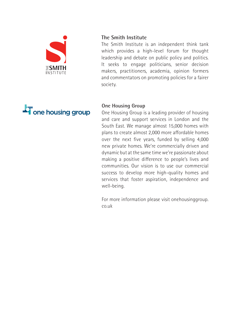

#### **The Smith Institute**

The Smith Institute is an independent think tank which provides a high-level forum for thought leadership and debate on public policy and politics. It seeks to engage politicians, senior decision makers, practitioners, academia, opinion formers and commentators on promoting policies for a fairer society.



#### **One Housing Group**

One Housing Group is a leading provider of housing and care and support services in London and the South East. We manage almost 15,000 homes with plans to create almost 2,000 more affordable homes over the next five years, funded by selling 4,000 new private homes. We're commercially driven and dynamic but at the same time we're passionate about making a positive difference to people's lives and communities. Our vision is to use our commercial success to develop more high-quality homes and services that foster aspiration, independence and well-being.

For more information please visit onehousinggroup. co.uk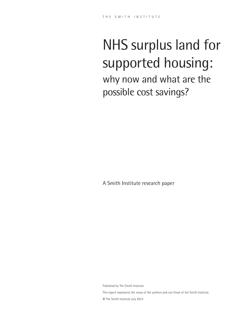# NHS surplus land for supported housing: why now and what are the possible cost savings?

A Smith Institute research paper

Published by The Smith Institute This report represents the views of the authors and not those of the Smith Institute. © The Smith Institute July 2014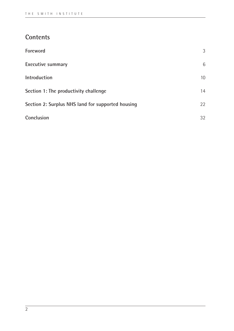## **Contents**

| Foreword                                          | 3               |
|---------------------------------------------------|-----------------|
| Executive summary                                 | 6               |
| Introduction                                      | 10 <sup>1</sup> |
| Section 1: The productivity challenge             | 14              |
| Section 2: Surplus NHS land for supported housing | 22              |
| Conclusion                                        | 32              |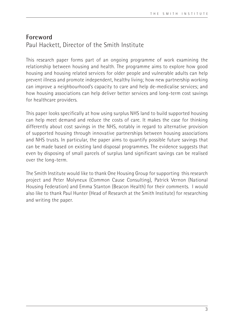## **Foreword**  Paul Hackett, Director of the Smith Institute

This research paper forms part of an ongoing programme of work examining the relationship between housing and health. The programme aims to explore how good housing and housing related services for older people and vulnerable adults can help prevent illness and promote independent, healthy living; how new partnership working can improve a neighbourhood's capacity to care and help de-medicalise services; and how housing associations can help deliver better services and long-term cost savings for healthcare providers.

This paper looks specifically at how using surplus NHS land to build supported housing can help meet demand and reduce the costs of care. It makes the case for thinking differently about cost savings in the NHS, notably in regard to alternative provision of supported housing through innovative partnerships between housing associations and NHS trusts. In particular, the paper aims to quantify possible future savings that can be made based on existing land disposal programmes. The evidence suggests that even by disposing of small parcels of surplus land significant savings can be realised over the long-term.

The Smith Institute would like to thank One Housing Group for supporting this research project and Peter Molyneux (Common Cause Consulting), Patrick Vernon (National Housing Federation) and Emma Stanton (Beacon Health) for their comments. I would also like to thank Paul Hunter (Head of Research at the Smith Institute) for researching and writing the paper.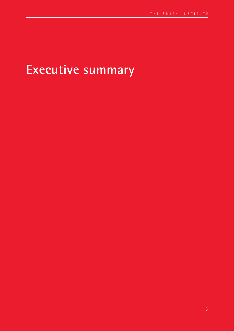## **Executive summary**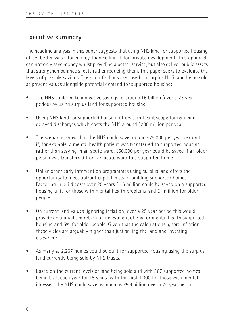## **Executive summary**

The headline analysis in this paper suggests that using NHS land for supported housing offers better value for money than selling it for private development. This approach can not only save money whilst providing a better service, but also deliver public assets that strengthen balance sheets rather reducing them. This paper seeks to evaluate the levels of possible savings. The main findings are based on surplus NHS land being sold at present values alongside potential demand for supported housing:

- The NHS could make indicative savings of around £6 billion (over a 25 year period) by using surplus land for supported housing.
- Using NHS land for supported housing offers significant scope for reducing delayed discharges which costs the NHS around £200 million per year.
- The scenarios show that the NHS could save around £75,000 per year per unit if, for example, a mental health patient was transferred to supported housing rather than staying in an acute ward. £50,000 per year could be saved if an older person was transferred from an acute ward to a supported home.
- Unlike other early intervention programmes using surplus land offers the opportunity to meet upfront capital costs of building supported homes. Factoring in build costs over 25 years £1.6 million could be saved on a supported housing unit for those with mental health problems, and £1 million for older people.
- On current land values (ignoring inflation) over a 25 year period this would provide an annualised return on investment of 7% for mental health supported housing and 5% for older people. Given that the calculations ignore inflation these yields are arguably higher than just selling the land and investing elsewhere.
- As many as 2,267 homes could be built for supported housing using the surplus land currently being sold by NHS trusts.
- Based on the current levels of land being sold and with 367 supported homes being built each year for 15 years (with the first 1,000 for those with mental illnesses) the NHS could save as much as £5.9 billion over a 25 year period.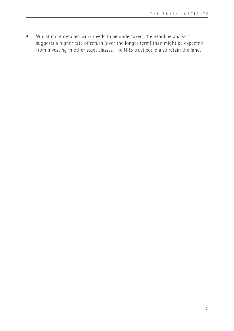• Whilst more detailed work needs to be undertaken, the headline analysis suggests a higher rate of return (over the longer term) than might be expected from investing in other asset classes. The NHS trust could also retain the land.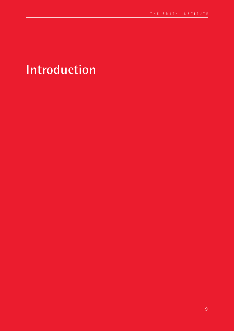## **Introduction**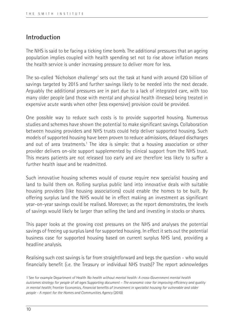## **Introduction**

The NHS is said to be facing a ticking time bomb. The additional pressures that an ageing population implies coupled with health spending set not to rise above inflation means the health service is under increasing pressure to deliver more for less.

The so-called 'Nicholson challenge' sets out the task at hand with around £20 billion of savings targeted by 2015 and further savings likely to be needed into the next decade. Arguably the additional pressures are in part due to a lack of integrated care, with too many older people (and those with mental and physical health illnesses) being treated in expensive acute wards when other (less expensive) provision could be provided.

One possible way to reduce such costs is to provide supported housing. Numerous studies and schemes have shown the potential to make significant savings. Collaboration between housing providers and NHS trusts could help deliver supported housing. Such models of supported housing have been proven to reduce admissions, delayed discharges and out of area treatments.<sup>1</sup> The idea is simple: that a housing association or other provider delivers on-site support supplemented by clinical support from the NHS trust. This means patients are not released too early and are therefore less likely to suffer a further health issue and be readmitted.

Such innovative housing schemes would of course require new specialist housing and land to build them on. Rolling surplus public land into innovative deals with suitable housing providers (like housing associations) could enable the homes to be built. By offering surplus land the NHS would be in effect making an investment as significant year-on-year savings could be realised. Moreover, as the report demonstrates, the levels of savings would likely be larger than selling the land and investing in stocks or shares.

This paper looks at the growing cost pressures on the NHS and analyses the potential savings of freeing up surplus land for supported housing. In effect it sets out the potential business case for supported housing based on current surplus NHS land, providing a headline analysis.

Realising such cost savings is far from straightforward and begs the question - who would financially benefit (i.e. the Treasury or individual NHS trusts)? The report acknowledges

<sup>1</sup> See for example Department of Health *No health without mental health: A cross-Government mental health outcomes strategy for people of all ages Supporting document – The economic case for improving efficiency and quality in mental health*; Frontier Economics, *Financial benefits of investment in specialist housing for vulnerable and older people - A report for the Homes and Communities Agency* (2010)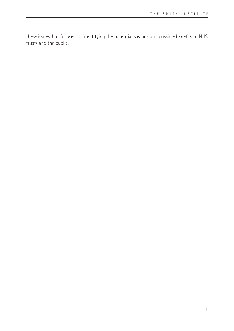these issues, but focuses on identifying the potential savings and possible benefits to NHS trusts and the public.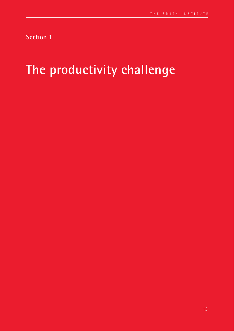**Section 1**

## **The productivity challenge**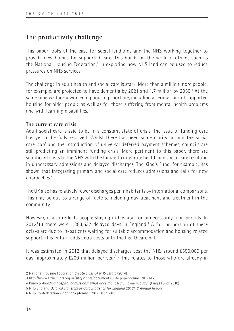## **The productivity challenge**

This paper looks at the case for social landlords and the NHS working together to provide new homes for supported care. This builds on the work of others, such as the National Housing Federation,<sup>2</sup> in exploring how NHS land can be used to reduce pressures on NHS services.

The challenge in adult health and social care is stark. More than a million more people, for example, are projected to have dementia by 2021 and 1.7 million by 2050.<sup>3</sup> At the same time we face a worsening housing shortage, including a serious lack of supported housing for older people as well as for those suffering from mental health problems and with learning disabilities.

## **The current care crisis**

Adult social care is said to be in a constant state of crisis. The issue of funding care has yet to be fully resolved. Whilst there has been some clarity around the social care 'cap' and the introduction of universal deferred payment schemes, councils are still predicting an imminent funding crisis. More pertinent to this paper, there are significant costs to the NHS with the failure to integrate health and social care resulting in unnecessary admissions and delayed discharges. The King's Fund, for example, has shown that integrating primary and social care reduces admissions and calls for new approaches.4

The UK also has relatively fewer discharges per inhabitants by international comparisons. This may be due to a range of factors, including day treatment and treatment in the community.

However, it also reflects people staying in hospital for unnecessarily long periods. In 2012/13 there were 1,383,537 delayed days in England.<sup>5</sup> A fair proportion of these delays are due to in-patients waiting for suitable accommodation and housing related support. This in turn adds extra costs onto the healthcare bill.

It was estimated in 2012 that delayed discharges cost the NHS around £550,000 per day (approximately £200 million per year).<sup>6</sup> This relates to those who are already in

<sup>2</sup> National Housing Federation *Creative use of NHS estate* (2014)

<sup>3</sup> http://www.alzheimers.org.uk/site/scripts/documents\_info.php?documentID=412

<sup>4</sup> Purdy S *Avoiding hospital admissions: What does the research evidence say?* (King's Fund, 2010)

<sup>5</sup> NHS England *Delayed Transfers of Care Statistics for England 2012/13 Annual Report*

<sup>6</sup> NHS Confederation *Briefing* September 2012 Issue 248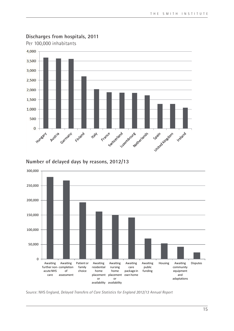

## **Discharges from hospitals, 2011**

**Number of delayed days by reasons, 2012/13**



Source: NHS England, *Delayed Transfers of Care Statistics for England 2012/13 Annual Report*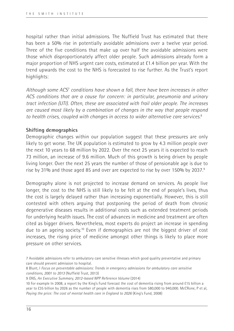hospital rather than initial admissions. The Nuffield Trust has estimated that there has been a 50% rise in potentially avoidable admissions over a twelve year period. Three of the five conditions that make up over half the avoidable admissions were those which disproportionately affect older people. Such admissions already form a major proportion of NHS urgent care costs, estimated at £1.4 billion per year. With the trend upwards the cost to the NHS is forecasted to rise further. As the Trust's report highlights:

*Although some ACS*<sup>7</sup>  *conditions have shown a fall, there have been increases in other ACS conditions that are a cause for concern: in particular, pneumonia and urinary tract infection (UTI). Often, these are associated with frail older people. The increases are caused most likely by a combination of changes in the way that people respond to health crises, coupled with changes in access to wider alternative care services.*<sup>8</sup>

### **Shifting demographics**

Demographic changes within our population suggest that these pressures are only likely to get worse. The UK population is estimated to grow by 4.3 million people over the next 10 years to 68 million by 2022. Over the next 25 years it is expected to reach 73 million, an increase of 9.6 million. Much of this growth is being driven by people living longer. Over the next 25 years the number of those of pensionable age is due to rise by 31% and those aged 85 and over are expected to rise by over 150% by 2037.9

Demography alone is not projected to increase demand on services. As people live longer, the cost to the NHS is still likely to be felt at the end of people's lives, thus the cost is largely delayed rather than increasing exponentially. However, this is still contested with others arguing that postponing the period of death from chronic degenerative diseases results in additional costs such as extended treatment periods for underlying health issues. The cost of advances in medicine and treatment are often cited as bigger drivers. Nevertheless, most experts do project an increase in spending due to an ageing society.10 Even if demographics are not the biggest driver of cost increases, the rising price of medicine amongst other things is likely to place more pressure on other services.

9 ONS, *An Executive Summary, 2012-based NPP Reference Volume* (2014)

<sup>7</sup> Avoidable admissions refer to ambulatory care sensitive illnesses which good quality preventative and primary care should prevent admission to hospital.

<sup>8</sup> Blunt, I *Focus on preventable admissions: Trends in emergency admissions for ambulatory care sensitive conditions, 2001 to 2013* (Nuffield Trust, 2013)

<sup>10</sup> For example In 2008, a report by the King's Fund forecast the cost of dementia rising from around £15 billion a year to £35 billion by 2026 as the number of people with dementia rises from 580,000 to 940,000. McCRone, P et al, *Paying the price: The cost of mental health care in England to 2026* (King's Fund, 2008)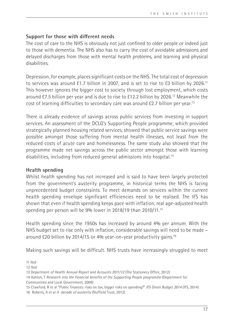### **Support for those with different needs**

The cost of care to the NHS is obviously not just confined to older people or indeed just to those with dementia. The NHS also has to carry the cost of avoidable admissions and delayed discharges from those with mental health problems, and learning and physical disabilities.

Depression, for example, places significant costs on the NHS. The total cost of depression to services was around £1.7 billion in 2007, and is set to rise to £3 billion by 2026.<sup>11</sup> This however ignores the bigger cost to society through lost employment, which costs around £7.5 billion per year and is due to rise to £12.2 billion by 2026.12 Meanwhile the cost of learning difficulties to secondary care was around £2.7 billion per year.13

There is already evidence of savings across public services from investing in support services. An assessment of the DCLG's Supporting People programme, which provided strategically planned housing related services, showed that public service savings were possible amongst those suffering from mental health illnesses, not least from the reduced costs of acute care and homelessness. The same study also showed that the programme made net savings across the public sector amongst those with learning disabilities, including from reduced general admissions into hospital.14

## **Health spending**

Whilst health spending has not increased and is said to have been largely protected from the government's austerity programme, in historical terms the NHS is facing unprecedented budget constraints. To meet demands on services within the current health spending envelope significant efficiencies need to be realised. The IFS has shown that even if health spending keeps pace with inflation, real age-adjusted health spending per person will be 9% lower in 2018/19 than 2010/11.<sup>15</sup>

Health spending since the 1950s has increased by around 4% per annum. With the NHS budget set to rise only with inflation, considerable savings will need to be made – around £20 billion by 2014/15 or 4% year-on-year productivity gains.16

Making such savings will be difficult. NHS trusts have increasingly struggled to meet

11 Ibid

12 Ibid

<sup>13</sup> Department of Health *Annual Report and Accounts 2011/12* (The Stationery Office, 2012)

<sup>14</sup> Ashton, T *Research into the financial benefits of the Supporting People programme* (Department for Communities and Local Government, 2009)

<sup>15</sup> Crawford, R et al "Public finances: risks on tax, bigger risks on spending?" *IFS Green Budget 2014* (IFS, 2014) 16 Roberts, A et al *A decade of austerity* (Nuffield Trust, 2012)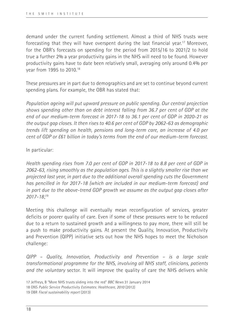demand under the current funding settlement. Almost a third of NHS trusts were forecasting that they will have overspent during the last financial year.<sup>17</sup> Moreover, for the OBR's forecasts on spending for the period from 2015/16 to 2021/2 to hold true a further 2% a year productivity gains in the NHS will need to be found. However productivity gains have to date been relatively small, averaging only around 0.4% per year from 1995 to 2010.18

These pressures are in part due to demographics and are set to continue beyond current spending plans. For example, the OBR has stated that:

*Population ageing will put upward pressure on public spending. Our central projection shows spending other than on debt interest falling from 36.7 per cent of GDP at the end of our medium-term forecast in 2017-18 to 36.1 per cent of GDP in 2020-21 as the output gap closes. It then rises to 40.6 per cent of GDP by 2062-63 as demographic trends lift spending on health, pensions and long-term care, an increase of 4.0 per cent of GDP or £61 billion in today's terms from the end of our medium-term forecast.* 

### In particular:

*Health spending rises from 7.0 per cent of GDP in 2017-18 to 8.8 per cent of GDP in 2062-63, rising smoothly as the population ages. This is a slightly smaller rise than we projected last year, in part due to the additional overall spending cuts the Government has pencilled in for 2017-18 (which are included in our medium-term forecast) and in part due to the above-trend GDP growth we assume as the output gap closes after 2017-18;*<sup>19</sup>

Meeting this challenge will eventually mean reconfiguration of services, greater deficits or poorer quality of care. Even if some of these pressures were to be reduced due to a return to sustained growth and a willingness to pay more, there will still be a push to make productivity gains. At present the Quality, Innovation, Productivity and Prevention (QIPP) initiative sets out how the NHS hopes to meet the Nicholson challenge:

*QIPP – Quality, Innovation, Productivity and Prevention – is a large scale transformational programme for the NHS, involving all NHS staff, clinicians, patients and the voluntary* sector. It will improve the quality of care the NHS delivers while

<sup>17</sup> Jeffreys, B "More NHS trusts sliding into the red" *BBC News* 31 January 2014

<sup>18</sup> ONS *Public Service Productivity Estimates: Healthcare, 2010* (2012)

<sup>19</sup> OBR *Fiscal sustainability report* (2013)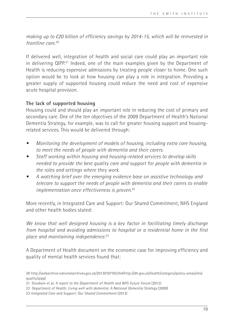*making up to £20 billion of efficiency savings by 2014-15, which will be reinvested in frontline care.*<sup>20</sup>

If delivered well, integration of health and social care could play an important role in delivering QIPP.<sup>21</sup> Indeed, one of the main examples given by the Department of Health is reducing expensive admissions by treating people closer to home. One such option would be to look at how housing can play a role in integration. Providing a greater supply of supported housing could reduce the need and cost of expensive acute hospital provision.

## **The lack of supported housing**

Housing could and should play an important role in reducing the cost of primary and secondary care. One of the ten objectives of the 2009 Department of Health's National Dementia Strategy, for example, was to call for greater housing support and housingrelated services. This would be delivered through:

- *• Monitoring the development of models of housing, including extra care housing, to meet the needs of people with dementia and their carers.*
- *• Staff working within housing and housing-related services to develop skills needed to provide the best quality care and support for people with dementia in the roles and settings where they work.*
- *• A watching brief over the emerging evidence base on assistive technology and telecare to support the needs of people with dementia and their carers to enable implementation once effectiveness is proven.*22

More recently, in Integrated Care and Support: Our Shared Commitment, NHS England and other health bodies stated:

*We know that well designed housing is a key factor in facilitating timely discharge from hospital and avoiding admissions to hospital or a residential home in the first place and maintaining independence.*23

A Department of Health document on the economic case for improving efficiency and quality of mental health services found that:

<sup>20</sup> http://webarchive.nationalarchives.gov.uk/20130107105354/http://dh.gov.uk/health/category/policy-areas/nhs/ quality/qipp/

<sup>21</sup> Goodwin et al, *A report to the Department of Health and NHS Future Forum* (2012)

<sup>22</sup> Department of Health, *Living well with dementia: A National Dementia Strategy* (2009)

<sup>23</sup> *Integrated Care and Support: Our Shared Commitment* (2013)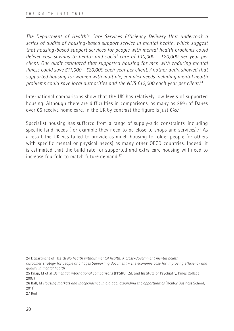*The Department of Health's Care Services Efficiency Delivery Unit undertook a series of audits of housing-based support service in mental health, which suggest that housing-based support services for people with mental health problems could deliver cost savings to health and social care of £10,000 – £20,000 per year per client. One audit estimated that supported housing for men with enduring mental illness could save £11,000 - £20,000 each year per client. Another audit showed that supported housing for women with multiple, complex needs including mental health problems could save local authorities and the NHS £12,000 each year per client.*<sup>24</sup>

International comparisons show that the UK has relatively low levels of supported housing. Although there are difficulties in comparisons, as many as 25% of Danes over 65 receive home care. In the UK by contrast the figure is just 6%.25

Specialist housing has suffered from a range of supply-side constraints, including specific land needs (for example they need to be close to shops and services).<sup>26</sup> As a result the UK has failed to provide as much housing for older people (or others with specific mental or physical needs) as many other OECD countries. Indeed, it is estimated that the build rate for supported and extra care housing will need to increase fourfold to match future demand<sup>27</sup>

24 Department of Health *No health without mental health: A cross-Government mental health* 

*outcomes strategy for people of all ages Supporting document – The economic case for improving efficiency and quality in mental health*

25 Knap, M et al *Dementia: international comparisons* (PPSRU, LSE and Institute of Psychiatry, Kings College, 2007)

26 Ball, M *Housing markets and independence in old age: expanding the opportunities* (Henley Business School, 2011)

27 Ibid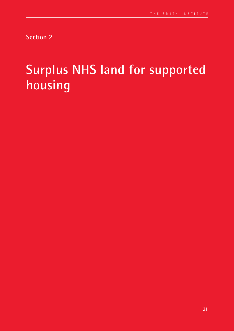**Section 2**

# **Surplus NHS land for supported housing**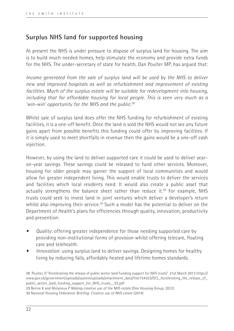## **Surplus NHS land for supported housing**

At present the NHS is under pressure to dispose of surplus land for housing. The aim is to build much needed homes, help stimulate the economy and provide extra funds for the NHS. The under-secretary of state for health, Dan Poulter MP, has argued that:

*Income generated from the sale of surplus land will be used by the NHS to deliver new and improved hospitals as well as refurbishment and improvement of existing*  facilities. Much of the surplus estate will be suitable for redevelopment into housing. *including that for affordable housing for local people. This is seen very much as a 'win-win' opportunity for the NHS and the public.*<sup>28</sup>

Whilst sale of surplus land does offer the NHS funding for refurbishment of existing facilities, it is a one-off benefit. Once the land is sold the NHS would not see any future gains apart from possible benefits this funding could offer by improving facilities. If it is simply used to meet shortfalls in revenue then the gains would be a one-off cash injection.

However, by using the land to deliver supported care it could be used to deliver yearon-year savings. These savings could be released to fund other services. Moreover, housing for older people may garner the support of local communities and would allow for greater independent living. This would enable trusts to deliver the services and facilities which local residents need. It would also create a public asset that actually strengthens the balance sheet rather than reduce it.<sup>29</sup> For example, NHS trusts could seek to invest land in joint ventures which deliver a developer's return whilst also improving their service.<sup>30</sup> Such a model has the potential to deliver on the Department of Health's plans for efficiencies through quality, innovation, productivity and prevention:

- *Quality: offering greater independence for those needing supported care by* providing non-institutional forms of provision whilst offering telecare, floating care and telehealth.
- *• Innovation*: using surplus land to deliver savings. Designing homes for healthy living by reducing falls, affordably heated and lifetime homes standards.

28 Poulter, D "Accelerating the release of public sector land Funding support for NHS trusts" 21st March 2013 https:// www.gov.uk/government/uploads/system/uploads/attachment\_data/file/154553/DCL\_Accelerating\_the\_release\_of\_ public\_sector\_land\_funding\_support\_for\_NHS\_trusts\_\_V2.pdf 29 Beirne K and Molyneux P *Making creative use of the NHS estate* (One Housing Group, 2012) 30 National Housing Federation *Briefing: Creative use of NHS estate* (2014)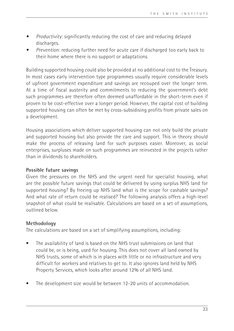- *• Productivity*: significantly reducing the cost of care and reducing delayed discharges.
- *• Prevention*: reducing further need for acute care if discharged too early back to their home where there is no support or adaptations.

Building supported housing could also be provided at no additional cost to the Treasury. In most cases early intervention type programmes usually require considerable levels of upfront government expenditure and savings are recouped over the longer term. At a time of fiscal austerity and commitments to reducing the government's debt such programmes are therefore often deemed unaffordable in the short-term even if proven to be cost-effective over a longer period. However, the capital cost of building supported housing can often be met by cross-subsidising profits from private sales on a development.

Housing associations which deliver supported housing can not only build the private and supported housing but also provide the care and support. This in theory should make the process of releasing land for such purposes easier. Moreover, as social enterprises, surpluses made on such programmes are reinvested in the projects rather than in dividends to shareholders.

## **Possible future savings**

Given the pressures on the NHS and the urgent need for specialist housing, what are the possible future savings that could be delivered by using surplus NHS land for supported housing? By freeing up NHS land what is the scope for cashable savings? And what rate of return could be realised? The following analysis offers a high-level snapshot of what could be realisable. Calculations are based on a set of assumptions, outlined below.

## **Methodology**

The calculations are based on a set of simplifying assumptions, including:

- The availability of land is based on the NHS trust submissions on land that could be, or is being, used for housing. This does not cover all land owned by NHS trusts, some of which is in places with little or no infrastructure and very difficult for workers and relatives to get to. It also ignores land held by NHS Property Services, which looks after around 12% of all NHS land.
- The development size would be between 12-20 units of accommodation.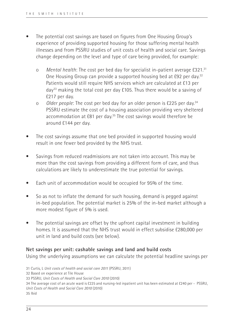- The potential cost savings are based on figures from One Housing Group's experience of providing supported housing for those suffering mental health illnesses and from PSSRU studies of unit costs of health and social care. Savings change depending on the level and type of care being provided, for example:
	- o *Mental health*: The cost per bed day for specialist in-patient average £321.31 One Housing Group can provide a supported housing bed at £92 per day.32 Patients would still require NHS services which are calculated at £13 per day33 making the total cost per day £105. Thus there would be a saving of £217 per day.
	- o *Older people*: The cost per bed day for an older person is £225 per day.34 PSSRU estimate the cost of a housing association providing very sheltered accommodation at £81 per day.<sup>35</sup> The cost savings would therefore be around £144 per day.
- The cost savings assume that one bed provided in supported housing would result in one fewer bed provided by the NHS trust.
- Savings from reduced readmissions are not taken into account. This may be more than the cost savings from providing a different form of care, and thus calculations are likely to underestimate the true potential for savings.
- Each unit of accommodation would be occupied for 95% of the time.
- So as not to inflate the demand for such housing, demand is pegged against in-bed population. The potential market is 25% of the in-bed market although a more modest figure of 5% is used.
- The potential savings are offset by the upfront capital investment in building homes. It is assumed that the NHS trust would in effect subsidise £280,000 per unit in land and build costs (see below).

#### **Net savings per unit: cashable savings and land and build costs**

Using the underlying assumptions we can calculate the potential headline savings per

<sup>31</sup> Curtis, L *Unit costs of health and social care 2011* (PSSRU, 2011) 32 Based on experience at Tile House 33 PSSRU, *Unit Costs of Health and Social Care 2010* (2010) 34 The average cost of an acute ward is £225 and nursing-led inpatient unit has been estimated at £240 per - PSSRU, *Unit Costs of Health and Social Care 2010* (2010) 35 Ibid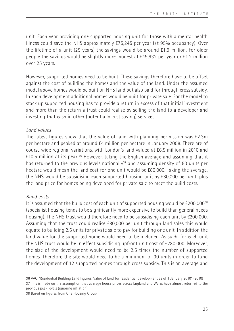unit. Each year providing one supported housing unit for those with a mental health illness could save the NHS approximately £75,245 per year (at 95% occupancy). Over the lifetime of a unit (25 years) the savings would be around £1.9 million. For older people the savings would be slightly more modest at £49,932 per year or £1.2 million over 25 years.

However, supported homes need to be built. These savings therefore have to be offset against the cost of building the homes and the value of the land. Under the assumed model above homes would be built on NHS land but also paid for through cross subsidy. In each development additional homes would be built for private sale. For the model to stack up supported housing has to provide a return in excess of that initial investment and more than the return a trust could realise by selling the land to a developer and investing that cash in other (potentially cost saving) services.

#### *Land values*

The latest figures show that the value of land with planning permission was £2.3m per hectare and peaked at around £4 million per hectare in January 2008. There are of course wide regional variations, with London's land valued at £6.5 million in 2010 and  $£10.5$  million at its peak.<sup>36</sup> However, taking the English average and assuming that it has returned to the previous levels nationally<sup>37</sup> and assuming density of 50 units per hectare would mean the land cost for one unit would be £80,000. Taking the average, the NHS would be subsidising each supported housing unit by £80,000 per unit, plus the land price for homes being developed for private sale to meet the build costs.

## *Build costs*

It is assumed that the build cost of each unit of supported housing would be £200,00038 (specialist housing tends to be significantly more expensive to build than general needs housing). The NHS trust would therefore need to be subsidising each unit by £200,000. Assuming that the trust could realise £80,000 per unit through land sales this would equate to building 2.5 units for private sale to pay for building one unit. In addition the land value for the supported home would need to be included. As such, for each unit the NHS trust would be in effect subsidising upfront unit cost of £280,000. Moreover, the size of the development would need to be 2.5 times the number of supported homes. Therefore the site would need to be a minimum of 30 units in order to fund the development of 12 supported homes through cross subsidy. This is an average and

36 VAO "Residential Building Land Figures: Value of land for residential development as of 1 January 2010" (2010) 37 This is made on the assumption that average house prices across England and Wales have almost returned to the previous peak levels (ignoring inflation).

38 Based on figures from One Housing Group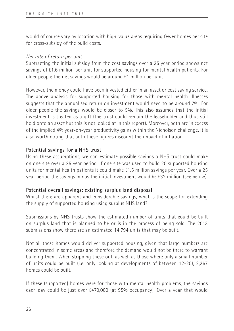would of course vary by location with high-value areas requiring fewer homes per site for cross-subsidy of the build costs.

#### *Net rate of return per unit*

Subtracting the initial subsidy from the cost savings over a 25 year period shows net savings of £1.6 million per unit for supported housing for mental health patients. For older people the net savings would be around £1 million per unit.

However, the money could have been invested either in an asset or cost saving service. The above analysis for supported housing for those with mental health illnesses suggests that the annualised return on investment would need to be around 7%. For older people the savings would be closer to 5%. This also assumes that the initial investment is treated as a gift (the trust could remain the leaseholder and thus still hold onto an asset but this is not looked at in this report). Moreover, both are in excess of the implied 4% year-on-year productivity gains within the Nicholson challenge. It is also worth noting that both these figures discount the impact of inflation.

## **Potential savings for a NHS trust**

Using these assumptions, we can estimate possible savings a NHS trust could make on one site over a 25 year period. If one site was used to build 20 supported housing units for mental health patients it could make £1.5 million savings per year. Over a 25 year period the savings minus the initial investment would be £32 million (see below).

## **Potential overall savings: existing surplus land disposal**

Whilst there are apparent and considerable savings, what is the scope for extending the supply of supported housing using surplus NHS land?

Submissions by NHS trusts show the estimated number of units that could be built on surplus land that is planned to be or is in the process of being sold. The 2013 submissions show there are an estimated 14,794 units that may be built.

Not all these homes would deliver supported housing, given that large numbers are concentrated in some areas and therefore the demand would not be there to warrant building them. When stripping these out, as well as those where only a small number of units could be built (i.e. only looking at developments of between 12-20), 2,267 homes could be built.

If these (supported) homes were for those with mental health problems, the savings each day could be just over £470,000 (at 95% occupancy). Over a year that would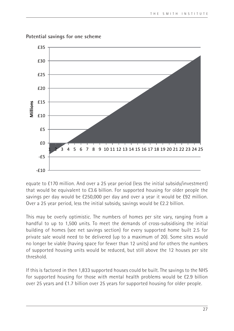

**Potential savings for one scheme**

equate to £170 million. And over a 25 year period (less the initial subsidy/investment) that would be equivalent to £3.6 billion. For supported housing for older people the savings per day would be £250,000 per day and over a year it would be £92 million. Over a 25 year period, less the initial subsidy, savings would be £2.2 billion.

This may be overly optimistic. The numbers of homes per site vary, ranging from a handful to up to 1,500 units. To meet the demands of cross-subsidising the initial building of homes (see net savings section) for every supported home built 2.5 for private sale would need to be delivered (up to a maximum of 20). Some sites would no longer be viable (having space for fewer than 12 units) and for others the numbers of supported housing units would be reduced, but still above the 12 houses per site threshold.

If this is factored in then 1,833 supported houses could be built. The savings to the NHS for supported housing for those with mental health problems would be £2.9 billion over 25 years and £1.7 billion over 25 years for supported housing for older people.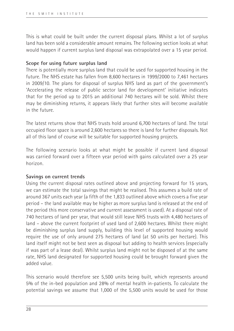This is what could be built under the current disposal plans. Whilst a lot of surplus land has been sold a considerable amount remains. The following section looks at what would happen if current surplus land disposal was extrapolated over a 15 year period.

### **Scope for using future surplus land**

There is potentially more surplus land that could be used for supported housing in the future. The NHS estate has fallen from 8,600 hectares in 1999/2000 to 7,461 hectares in 2009/10. The plans for disposal of surplus NHS land as part of the government's 'Accelerating the release of public sector land for development' initiative indicates that for the period up to 2015 an additional 740 hectares will be sold. Whilst there may be diminishing returns, it appears likely that further sites will become available in the future.

The latest returns show that NHS trusts hold around 6,700 hectares of land. The total occupied floor space is around 2,600 hectares so there is land for further disposals. Not all of this land of course will be suitable for supported housing projects.

The following scenario looks at what might be possible if current land disposal was carried forward over a fifteen year period with gains calculated over a 25 year horizon.

## **Savings on current trends**

Using the current disposal rates outlined above and projecting forward for 15 years, we can estimate the total savings that might be realised. This assumes a build rate of around 367 units each year (a fifth of the 1,833 outlined above which covers a five year period – the land available may be higher as more surplus land is released at the end of the period this more conservative and current assessment is used). At a disposal rate of 740 hectares of land per year, that would still leave NHS trusts with 4,480 hectares of land – above the current footprint of used land of 2,600 hectares. Whilst there might be diminishing surplus land supply, building this level of supported housing would require the use of only around 275 hectares of land (at 50 units per hectare). This land itself might not be best seen as disposal but adding to health services (especially if was part of a lease deal). Whilst surplus land might not be disposed of at the same rate, NHS land designated for supported housing could be brought forward given the added value.

This scenario would therefore see 5,500 units being built, which represents around 5% of the in-bed population and 28% of mental health in-patients. To calculate the potential savings we assume that 1,000 of the 5,500 units would be used for those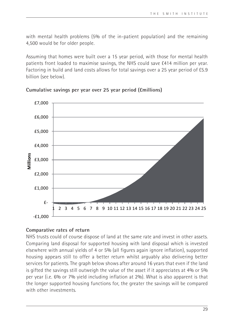with mental health problems (5% of the in-patient population) and the remaining 4,500 would be for older people.

Assuming that homes were built over a 15 year period, with those for mental health patients front loaded to maximise savings, the NHS could save £414 million per year. Factoring in build and land costs allows for total savings over a 25 year period of £5.9 billion (see below).



## **Cumulative savings per year over 25 year period (£millions)**

## **Comparative rates of return**

NHS trusts could of course dispose of land at the same rate and invest in other assets. Comparing land disposal for supported housing with land disposal which is invested elsewhere with annual yields of 4 or 5% (all figures again ignore inflation), supported housing appears still to offer a better return whilst arguably also delivering better services for patients. The graph below shows after around 16 years that even if the land is gifted the savings still outweigh the value of the asset if it appreciates at 4% or 5% per year (i.e. 6% or 7% yield including inflation at 2%). What is also apparent is that the longer supported housing functions for, the greater the savings will be compared with other investments.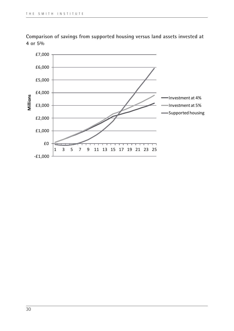

**Comparison of savings from supported housing versus land assets invested at 4 or 5%**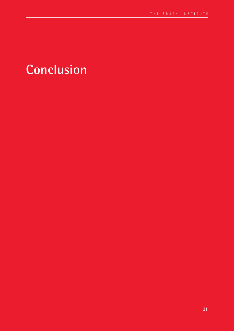## **Conclusion**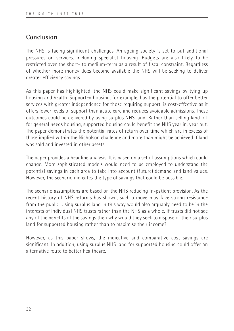## **Conclusion**

The NHS is facing significant challenges. An ageing society is set to put additional pressures on services, including specialist housing. Budgets are also likely to be restricted over the short- to medium-term as a result of fiscal constraint. Regardless of whether more money does become available the NHS will be seeking to deliver greater efficiency savings.

As this paper has highlighted, the NHS could make significant savings by tying up housing and health. Supported housing, for example, has the potential to offer better services with greater independence for those requiring support, is cost-effective as it offers lower levels of support than acute care and reduces avoidable admissions. These outcomes could be delivered by using surplus NHS land. Rather than selling land off for general needs housing, supported housing could benefit the NHS year in, year out. The paper demonstrates the potential rates of return over time which are in excess of those implied within the Nicholson challenge and more than might be achieved if land was sold and invested in other assets.

The paper provides a headline analysis. It is based on a set of assumptions which could change. More sophisticated models would need to be employed to understand the potential savings in each area to take into account (future) demand and land values. However, the scenario indicates the type of savings that could be possible.

The scenario assumptions are based on the NHS reducing in-patient provision. As the recent history of NHS reforms has shown, such a move may face strong resistance from the public. Using surplus land in this way would also arguably need to be in the interests of individual NHS trusts rather than the NHS as a whole. If trusts did not see any of the benefits of the savings then why would they seek to dispose of their surplus land for supported housing rather than to maximise their income?

However, as this paper shows, the indicative and comparative cost savings are significant. In addition, using surplus NHS land for supported housing could offer an alternative route to better healthcare.